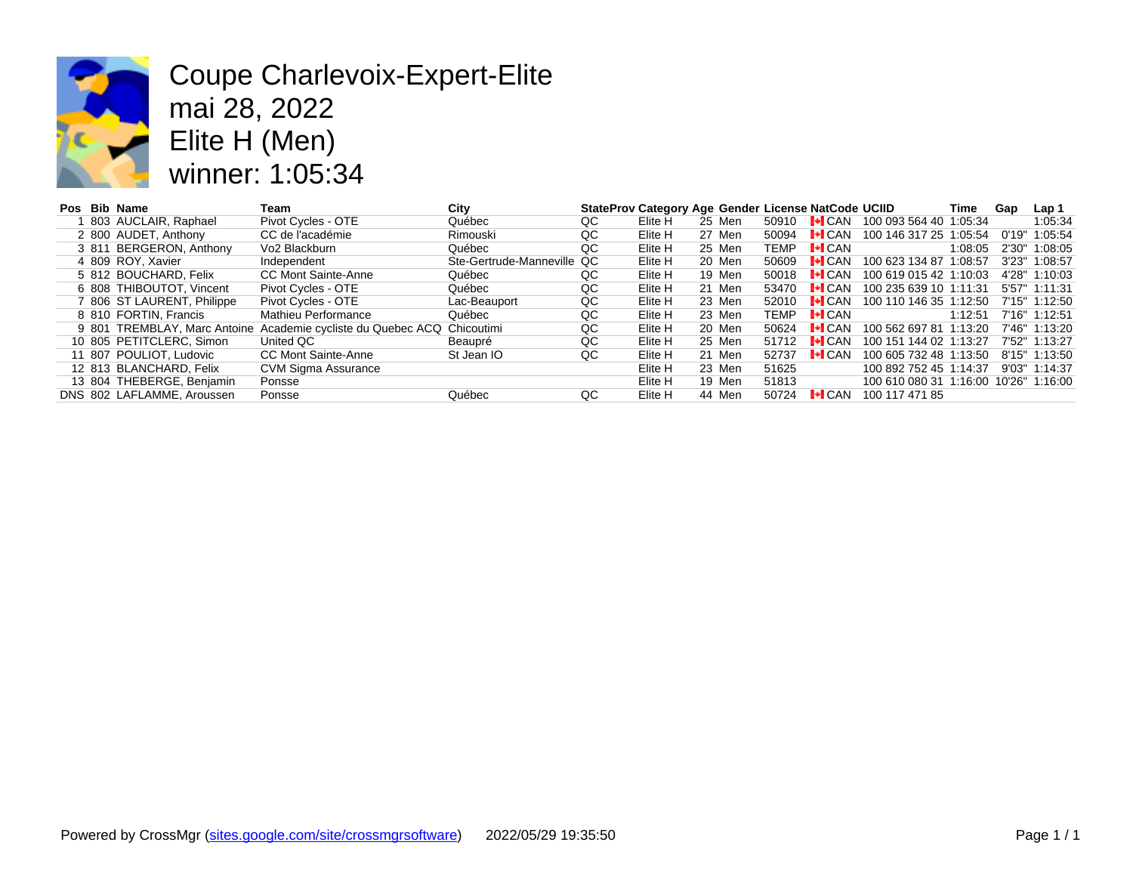

# Coupe Charlevoix-Expert-Elite mai 28, 2022 Elite H (Men) winner: 1:05:34

| Pos | <b>Bib Name</b>            | Team                                                                    | City                       |    | StateProv Category Age Gender License NatCode UC |        |       |                                    |      |
|-----|----------------------------|-------------------------------------------------------------------------|----------------------------|----|--------------------------------------------------|--------|-------|------------------------------------|------|
|     | 803 AUCLAIR, Raphael       | Pivot Cycles - OTE                                                      | Québec                     | QC | Elite H                                          | 25 Men | 50910 | $\blacktriangleright$ CAN 10       |      |
|     | 2 800 AUDET, Anthony       | CC de l'académie                                                        | Rimouski                   | QC | Elite H                                          | 27 Men | 50094 | $\blacktriangleright$ CAN 10       |      |
|     | 3 811 BERGERON, Anthony    | Vo2 Blackburn                                                           | Québec                     | QC | Elite H                                          | 25 Men | TEMP  | $\vdash$ CAN                       |      |
|     | 4 809 ROY, Xavier          | Independent                                                             | Ste-Gertrude-Manneville QC |    | Elite H                                          | 20 Men | 50609 | $\blacktriangleright$ CAN 10       |      |
|     | 5 812 BOUCHARD, Felix      | <b>CC Mont Sainte-Anne</b>                                              | Québec                     | QC | Elite H                                          | 19 Men | 50018 | $\mathsf{I}\text{-}\mathsf{I}$ can | - 10 |
|     | 6 808 THIBOUTOT, Vincent   | Pivot Cycles - OTE                                                      | Québec                     | QC | Elite H                                          | 21 Men | 53470 | $\mathsf{L}\mathsf{L}$ can         | 10   |
|     | 7 806 ST LAURENT, Philippe | Pivot Cycles - OTE                                                      | Lac-Beauport               | QC | Elite H                                          | 23 Men | 52010 | $\mathsf{L}\blacksquare$ CAN       | -10  |
|     | 8 810 FORTIN, Francis      | Mathieu Performance                                                     | Québec                     | QC | Elite H                                          | 23 Men | TEMP  | $\vdash$ CAN                       |      |
|     |                            | 9 801 TREMBLAY, Marc Antoine Academie cycliste du Quebec ACQ Chicoutimi |                            | QC | Elite H                                          | 20 Men | 50624 | $\vdash$ CAN                       | 10   |
|     | 10 805 PETITCLERC, Simon   | United QC                                                               | Beaupré                    | QC | Elite H                                          | 25 Men | 51712 | $\mathsf{L}\mathsf{L}$ CAN         | 10   |
|     | 11 807 POULIOT, Ludovic    | <b>CC Mont Sainte-Anne</b>                                              | St Jean IO                 | QC | Elite H                                          | 21 Men | 52737 | $\mathsf{L}\mathsf{L}$ CAN         | 10   |
|     | 12 813 BLANCHARD, Felix    | CVM Sigma Assurance                                                     |                            |    | Elite H                                          | 23 Men | 51625 |                                    | 10   |
|     | 13 804 THEBERGE, Benjamin  | Ponsse                                                                  |                            |    | Elite H                                          | 19 Men | 51813 |                                    | 10   |
|     | DNS 802 LAFLAMME, Aroussen | Ponsse                                                                  | Québec                     | QC | Elite H                                          | 44 Men | 50724 | $\vdash$ CAN                       | 10   |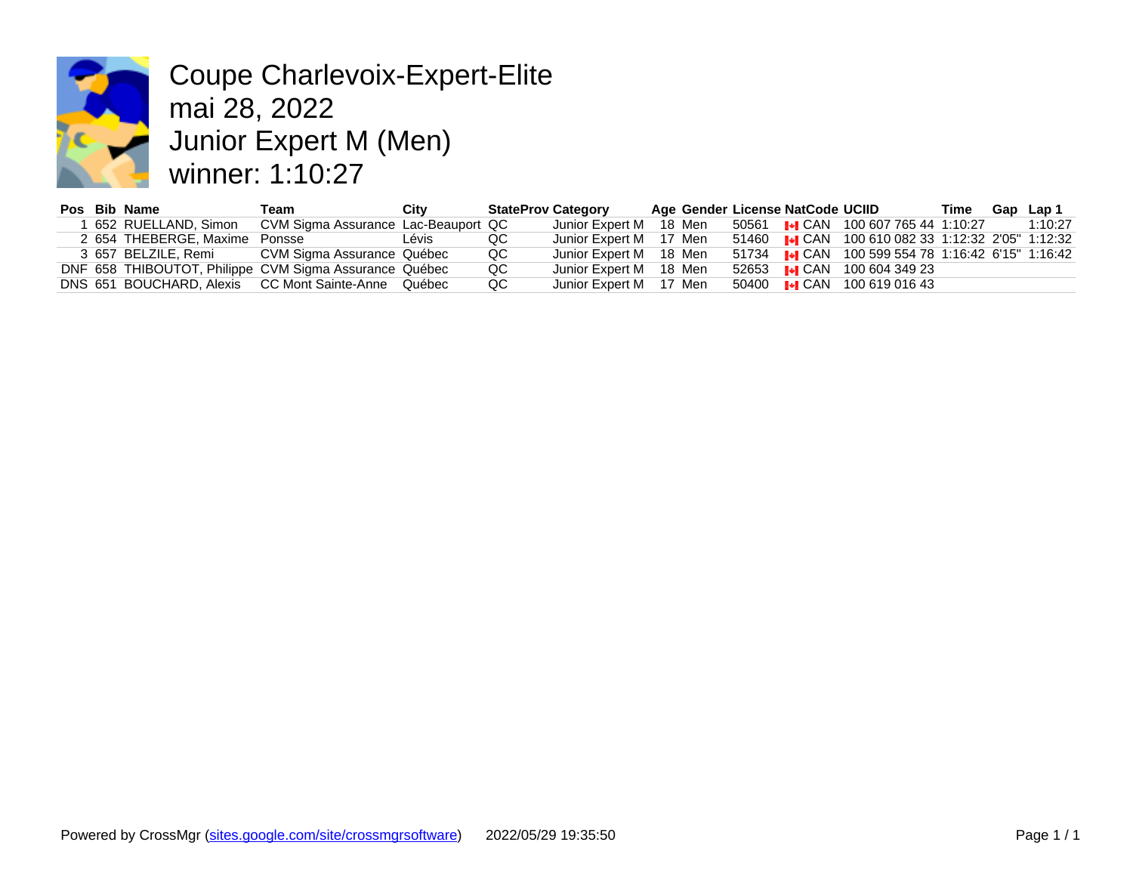

Coupe Charlevoix-Expert-Elite mai 28, 2022 Junior Expert M (Men) winner: 1:10:27

|  | Pos Bib Name                  | Геаm                                                   | City  | <b>StateProv Category</b> |                        |  | Age Gender License NatCode UCIID |  |
|--|-------------------------------|--------------------------------------------------------|-------|---------------------------|------------------------|--|----------------------------------|--|
|  | 652 RUELLAND, Simon           | CVM Sigma Assurance Lac-Beauport QC                    |       |                           | Junior Expert M 18 Men |  | 50561 I <sup>J</sup> I CAN 1006  |  |
|  | 2 654 THEBERGE, Maxime Ponsse |                                                        | Lévis | QC                        | Junior Expert M 17 Men |  | 51460 <b>I</b> ICAN 1006         |  |
|  | 3 657 BELZILE. Remi           | CVM Sigma Assurance Québec                             |       | QC                        | Junior Expert M 18 Men |  | 51734 I•I CAN 1005               |  |
|  |                               | DNF 658 THIBOUTOT, Philippe CVM Sigma Assurance Québec |       | QC                        | Junior Expert M 18 Men |  | 52653 I.I.I CAN 1006             |  |
|  |                               | DNS 651 BOUCHARD, Alexis CC Mont Sainte-Anne Québec    |       | QC                        | Junior Expert M 17 Men |  | 50400 <b>I</b> I CAN 1006        |  |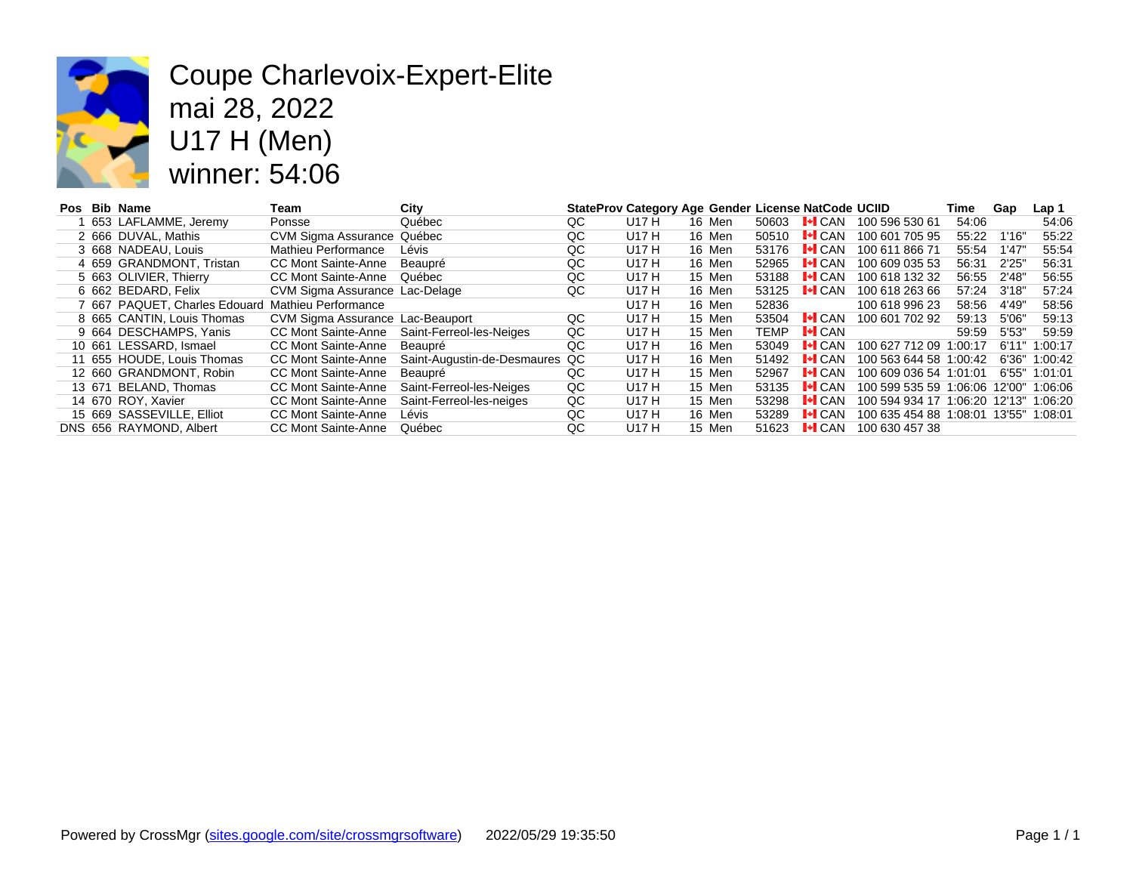

#### Coupe Charlevoix-Expert-Elite mai 28, 2022 U17 H (Men) winner: 54:06

|  | Pos Bib Name                                      | Team                             | City                           |    |       | StateProv Category Age Gender License NatCode UCI |             |                                   |     |
|--|---------------------------------------------------|----------------------------------|--------------------------------|----|-------|---------------------------------------------------|-------------|-----------------------------------|-----|
|  | 653 LAFLAMME, Jeremy                              | Ponsse                           | Québec                         | QC | U17 H | 16 Men                                            | 50603       | $\mathsf{L}\bullet\mathsf{L}$ CAN | 100 |
|  | 2 666 DUVAL, Mathis                               | CVM Sigma Assurance Québec       |                                | QC | U17 H | 16 Men                                            | 50510       | $\vdash$ CAN                      | 100 |
|  | 3 668 NADEAU, Louis                               | Mathieu Performance              | Lévis                          | QC | U17 H | 16 Men                                            | 53176       | $\vdash$ CAN                      | 100 |
|  | 4 659 GRANDMONT, Tristan                          | CC Mont Sainte-Anne              | Beaupré                        | QC | U17 H | 16 Men                                            | 52965       | $\vdash$ CAN                      | 100 |
|  | 5 663 OLIVIER, Thierry                            | CC Mont Sainte-Anne              | Québec                         | QC | U17 H | 15 Men                                            | 53188       | $\mathsf{L}\mathsf{L}$ CAN        | 100 |
|  | 6 662 BEDARD, Felix                               | CVM Sigma Assurance Lac-Delage   |                                | QC | U17 H | 16 Men                                            | 53125       | $\vdash$ CAN                      | 100 |
|  | 7 667 PAQUET, Charles Edouard Mathieu Performance |                                  |                                |    | U17 H | 16 Men                                            | 52836       |                                   | 100 |
|  | 8 665 CANTIN, Louis Thomas                        | CVM Sigma Assurance Lac-Beauport |                                | QC | U17 H | 15 Men                                            | 53504       | $\vdash$ CAN                      | 100 |
|  | 9 664 DESCHAMPS, Yanis                            | CC Mont Sainte-Anne              | Saint-Ferreol-les-Neiges       | QC | U17 H | 15 Men                                            | <b>TEMP</b> | $\lVert \cdot \rVert$ CAN         |     |
|  | 10 661 LESSARD, Ismael                            | CC Mont Sainte-Anne              | Beaupré                        | QC | U17 H | 16 Men                                            | 53049       | $\mathsf{H}$ CAN                  | 100 |
|  | 11 655 HOUDE, Louis Thomas                        | CC Mont Sainte-Anne              | Saint-Augustin-de-Desmaures QC |    | U17 H | 16 Men                                            | 51492       | $\vdash$ CAN                      | 100 |
|  | 12 660 GRANDMONT, Robin                           | CC Mont Sainte-Anne              | Beaupré                        | QC | U17 H | 15 Men                                            | 52967       | $\vdash$ CAN                      | 100 |
|  | 13 671 BELAND, Thomas                             | CC Mont Sainte-Anne              | Saint-Ferreol-les-Neiges       | QC | U17 H | 15 Men                                            | 53135       | $\mathsf{I}^\bullet$ can          | 100 |
|  | 14 670 ROY, Xavier                                | CC Mont Sainte-Anne              | Saint-Ferreol-les-neiges       | QC | U17 H | 15 Men                                            | 53298       | $\vdash$ CAN                      | 100 |
|  | 15 669 SASSEVILLE, Elliot                         | CC Mont Sainte-Anne              | Lévis                          | QC | U17 H | 16 Men                                            | 53289       | $\mathsf{L}\mathsf{L}$ CAN        | 100 |
|  | DNS 656 RAYMOND, Albert                           | CC Mont Sainte-Anne              | Québec                         | QC | U17 H | 15 Men                                            | 51623       | $\vdash$ CAN                      | 100 |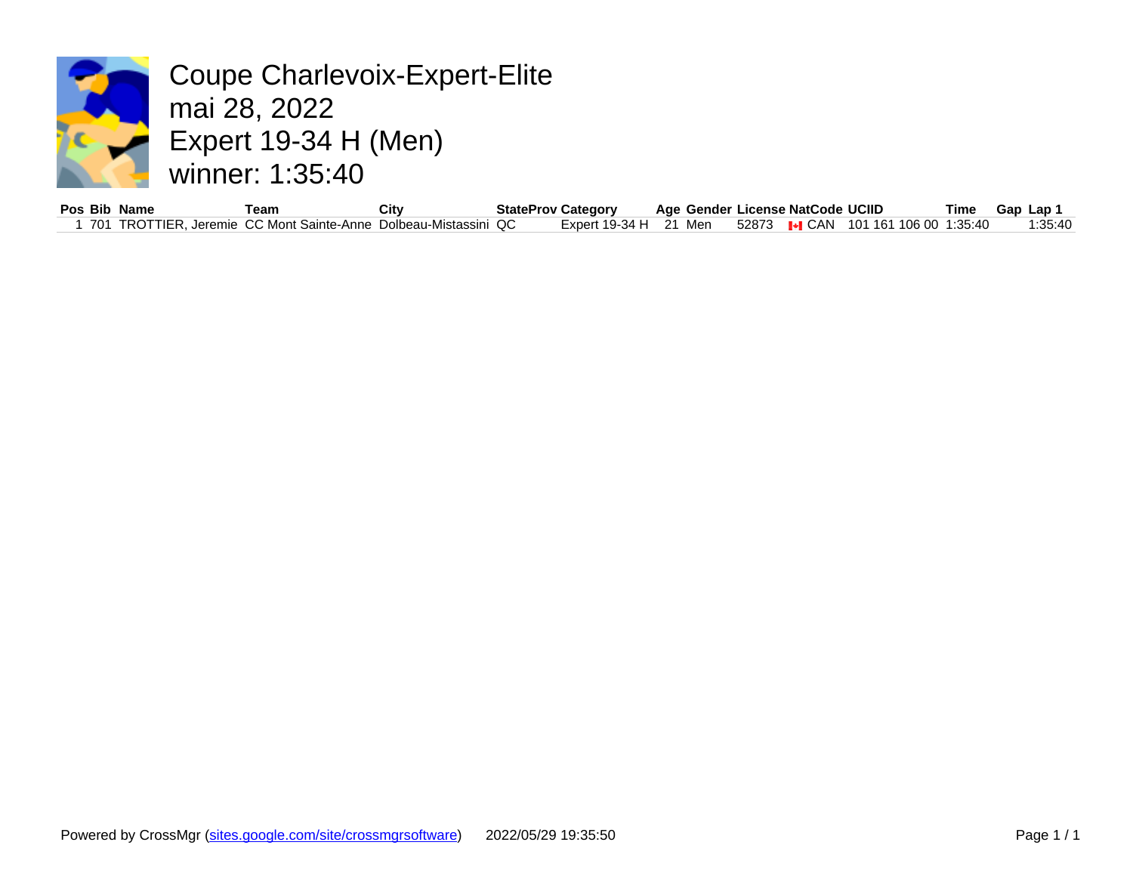

Coupe Charlevoix-Expert-Elite mai 28, 2022 Expert 19-34 H (Men) winner: 1:35:40

| Pos Bib | Name      | ⊺eam                          | City               |    | StateProv Category |     | Age Gender |       | License NatCode | UCIII            |
|---------|-----------|-------------------------------|--------------------|----|--------------------|-----|------------|-------|-----------------|------------------|
| 701     | TROTTIER. | , Jeremie CC Mont Sainte-Anne | Dolbeau-Mistassini | QC | Expert 19-34 H     | ว 4 | Men        | 52873 | I+I CAN         | 101 <sup>1</sup> |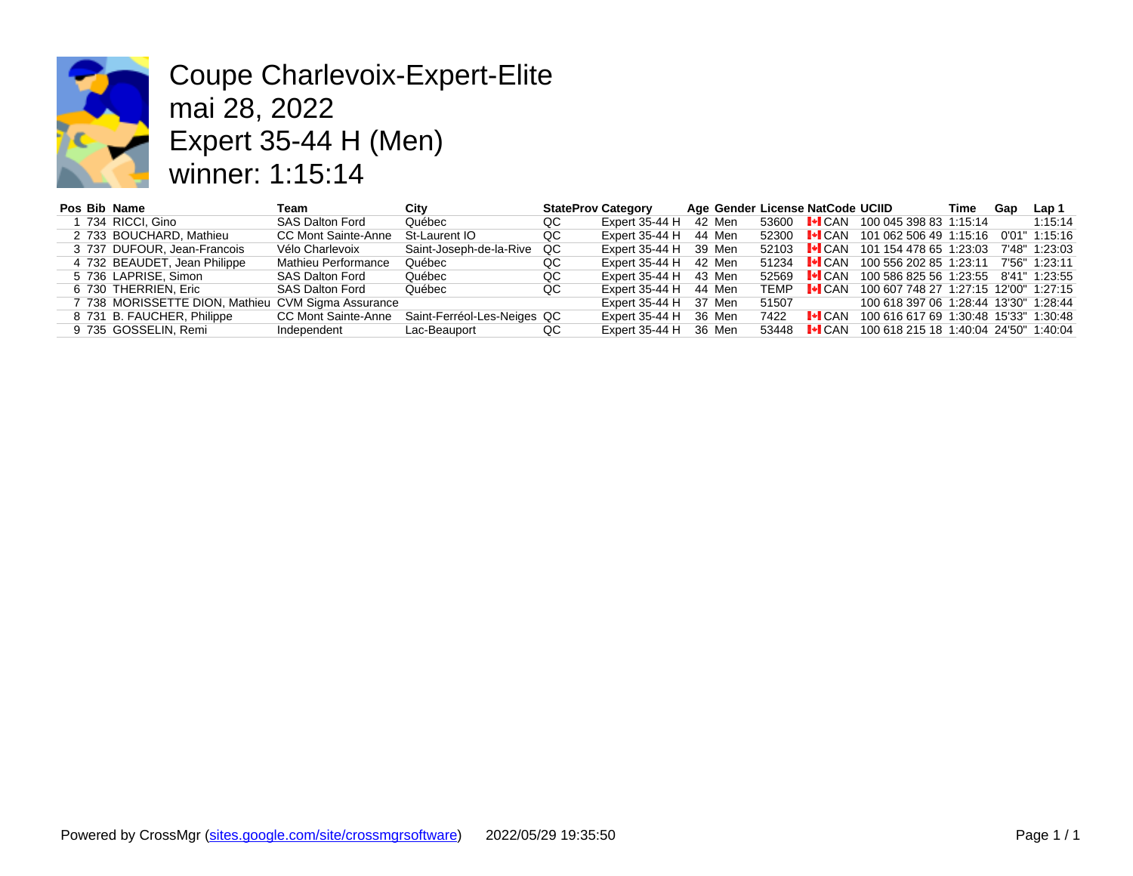

# Coupe Charlevoix-Expert-Elite mai 28, 2022 Expert 35-44 H (Men) winner: 1:15:14

| Pos Bib Name |                                                    | Team                   | City                        |    | <b>StateProv Category</b> |        |             | Age Gender License NatCode UC |     |
|--------------|----------------------------------------------------|------------------------|-----------------------------|----|---------------------------|--------|-------------|-------------------------------|-----|
|              | 734 RICCI, Gino                                    | <b>SAS Dalton Ford</b> | Québec                      | QC | Expert 35-44 H            | 42 Men |             | 53600 <b>I CAN</b> 100        |     |
|              | 2 733 BOUCHARD, Mathieu                            | CC Mont Sainte-Anne    | St-Laurent IO               | QC | Expert 35-44 H            | 44 Men |             | 52300 <b>I</b> ICAN 10        |     |
|              | 3 737 DUFOUR, Jean-Francois                        | Vélo Charlevoix        | Saint-Joseph-de-la-Rive     | QC | Expert $35-44$ H 39 Men   |        |             | 52103 <b>.</b> CAN 10         |     |
|              | 4 732 BEAUDET, Jean Philippe                       | Mathieu Performance    | Québec                      | QC | Expert 35-44 H            | 42 Men |             | 51234 <b>I.</b> CAN 100       |     |
|              | 5 736 LAPRISE, Simon                               | <b>SAS Dalton Ford</b> | Québec                      | QC | Expert 35-44 H            | 43 Men |             | 52569 <b>.</b> CAN            | 100 |
|              | 6 730 THERRIEN, Eric                               | <b>SAS Dalton Ford</b> | Québec                      | QC | Expert 35-44 H            | 44 Men | <b>TEMP</b> | $\vdash$ CAN                  | 100 |
|              | 7 738 MORISSETTE DION, Mathieu CVM Sigma Assurance |                        |                             |    | Expert $35-44$ H $37$ Men |        | 51507       |                               | 100 |
|              | 8 731 B. FAUCHER, Philippe                         | CC Mont Sainte-Anne    | Saint-Ferréol-Les-Neiges QC |    | Expert 35-44 H            | 36 Men | 7422        | $\blacksquare$ CAN            | 100 |
|              | 9 735 GOSSELIN, Remi                               | Independent            | Lac-Beauport                | QC | Expert 35-44 H            | 36 Men | 53448       | $\vdash$ CAN                  | 100 |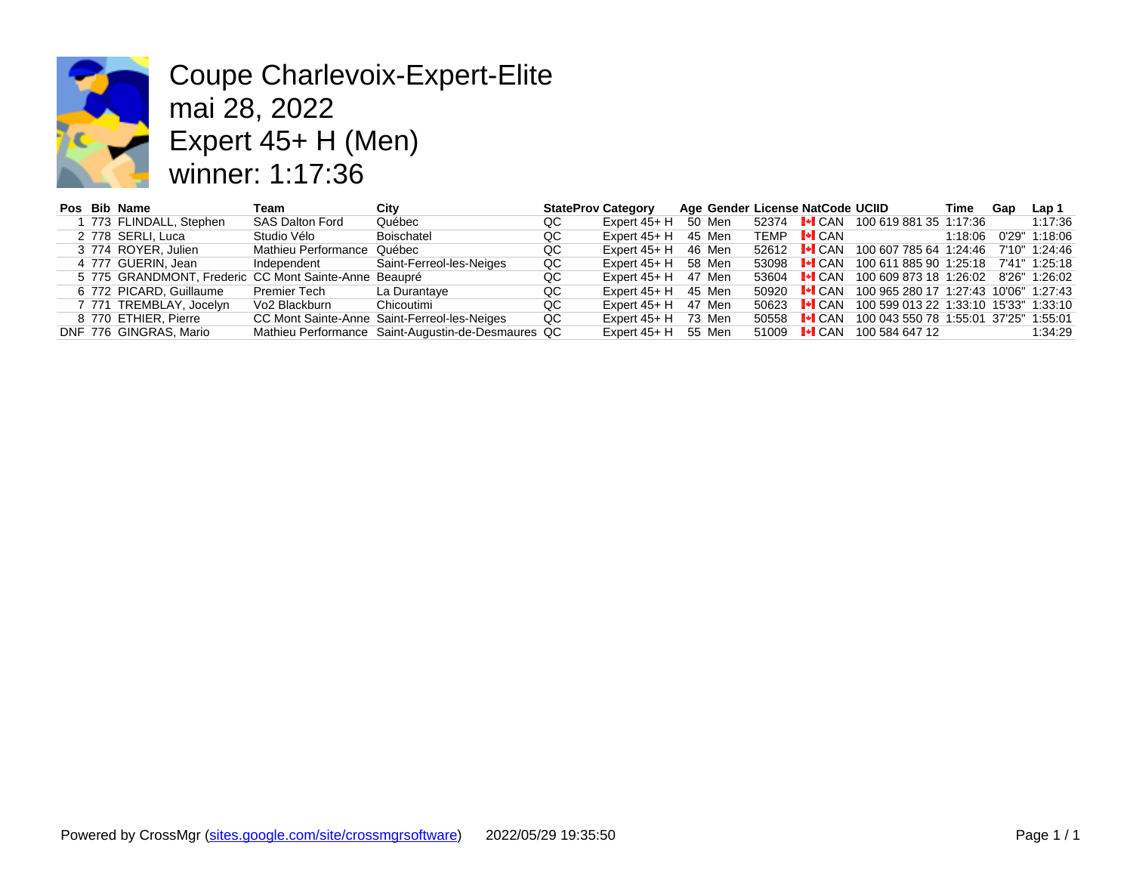

# Coupe Charlevoix-Expert-Elite mai 28, 2022 Expert 45+ H (Men) winner: 1:17:36

|  | Pos Bib Name                                          | Team                       | City                                               | <b>StateProv Category</b> |              |        |       | Age Gender License NatCode UCI |     |
|--|-------------------------------------------------------|----------------------------|----------------------------------------------------|---------------------------|--------------|--------|-------|--------------------------------|-----|
|  | 1 773 FLINDALL, Stephen                               | <b>SAS Dalton Ford</b>     | Québec                                             | QC                        | Expert 45+ H | 50 Men | 52374 | $\mathsf{L}\blacksquare$ CAN   | 100 |
|  | 2 778 SERLI, Luca                                     | Studio Vélo                | Boischatel                                         | QC                        | Expert 45+ H | 45 Men | TEMP  | $\lVert \cdot \rVert$ CAN      |     |
|  | 3 774 ROYER, Julien                                   | Mathieu Performance Québec |                                                    | QC                        | Expert 45+ H | 46 Men | 52612 | $\mathsf{L}\mathsf{L}$ can     | 100 |
|  | 4 777 GUERIN, Jean                                    | Independent                | Saint-Ferreol-les-Neiges                           | QC                        | Expert 45+ H | 58 Men | 53098 | $\vdash$ CAN                   | 100 |
|  | 5 775 GRANDMONT, Frederic CC Mont Sainte-Anne Beaupré |                            |                                                    | QC                        | Expert 45+ H | 47 Men | 53604 | $\lVert \cdot \rVert$ CAN      | 100 |
|  | 6 772 PICARD, Guillaume                               | Premier Tech               | La Durantave                                       | QC                        | Expert 45+ H | 45 Men | 50920 | $\lVert \cdot \rVert$ CAN      | 100 |
|  | 7 771 TREMBLAY, Jocelyn                               | Vo2 Blackburn              | Chicoutimi                                         | QC                        | Expert 45+ H | 47 Men | 50623 | $\lVert \cdot \rVert$ CAN      | 100 |
|  | 8 770 ETHIER, Pierre                                  |                            | CC Mont Sainte-Anne Saint-Ferreol-les-Neiges       | QC                        | Expert 45+ H | 73 Men | 50558 | $\lVert \cdot \rVert$ CAN      | 100 |
|  | DNF 776 GINGRAS, Mario                                |                            | Mathieu Performance Saint-Augustin-de-Desmaures QC |                           | Expert 45+ H | 55 Men | 51009 | $\blacksquare$ CAN             | 100 |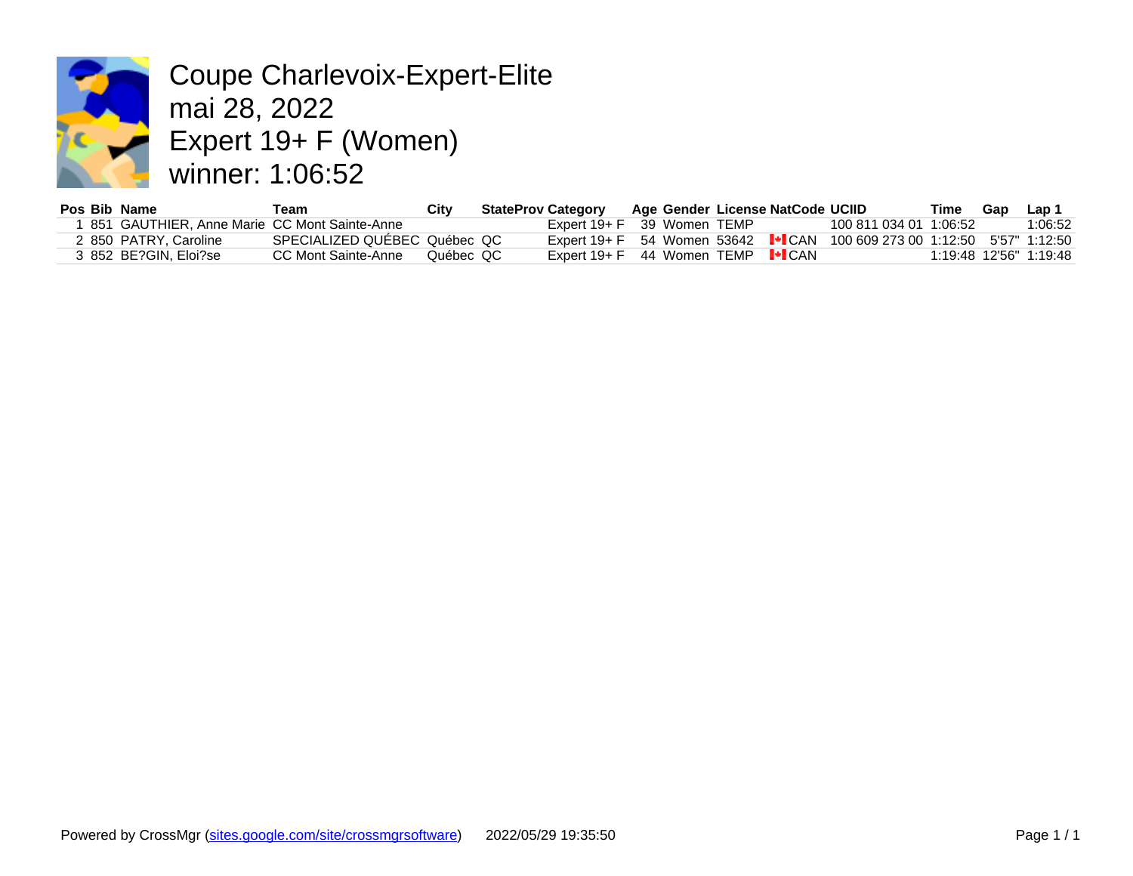

Coupe Charlevoix-Expert-Elite mai 28, 2022 Expert 19+ F (Women) winner: 1:06:52

| Pos Bib Name |                                              | Геаm                         | Citv      | <b>StateProv Category</b>                                |               | Age Gender License NatCode UCIID    |         |
|--------------|----------------------------------------------|------------------------------|-----------|----------------------------------------------------------|---------------|-------------------------------------|---------|
|              | 851 GAUTHIER, Anne Marie CC Mont Sainte-Anne |                              |           | Expert 19+ F 39 Women TEMP                               |               |                                     | 100 811 |
|              | 2 850 PATRY. Caroline                        | SPECIALIZED QUEBEC Québec QC |           | Expert 19+ F $-54$ Women 53642 $\blacktriangleright$ CAN |               |                                     | 100 609 |
|              | 3 852 BE?GIN. Eloi?se                        | CC Mont Sainte-Anne          | Québec QC | Expert $19 + F$                                          | 44 Women TEMP | $\left\Vert \bullet\right\Vert$ CAN |         |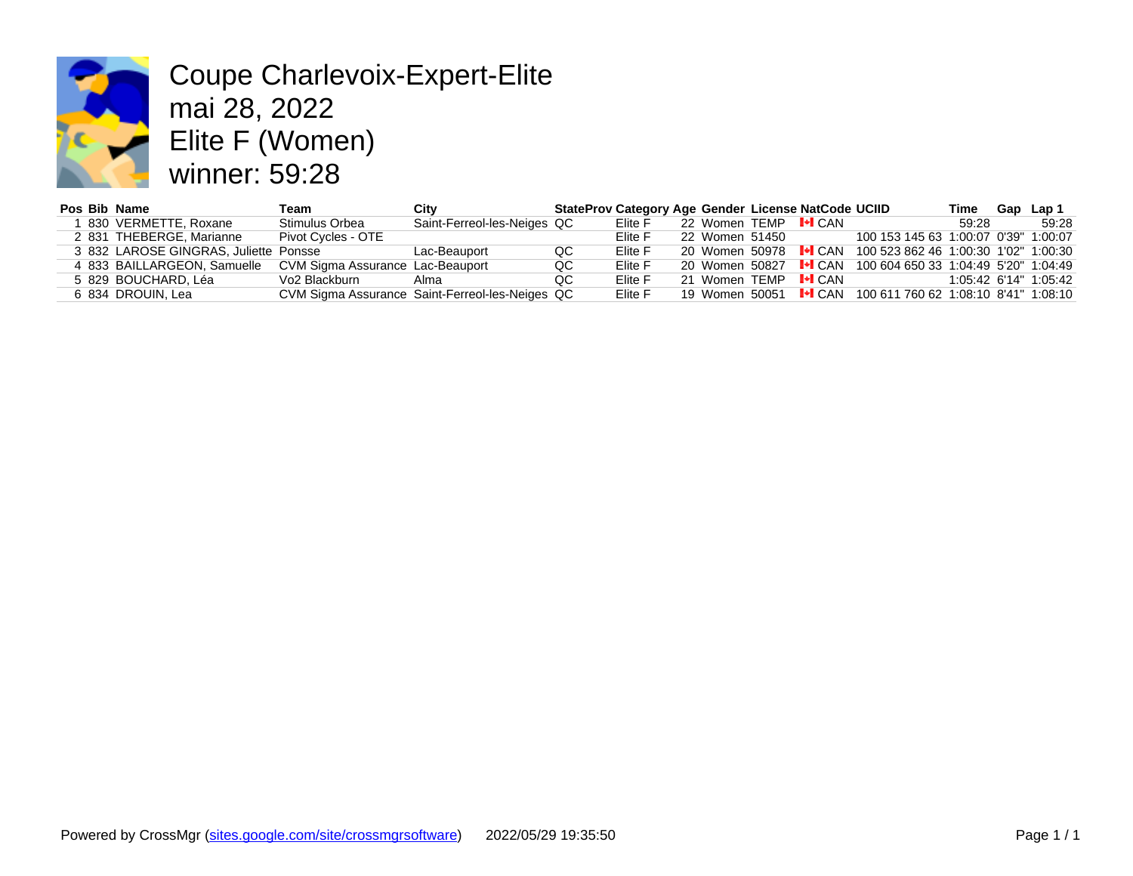

# Coupe Charlevoix-Expert-Elite mai 28, 2022 Elite F (Women) winner: 59:28

| Pos Bib Name |                                       | Геаm                             | Citv                                            |     | StateProv Category Age Gender License NatCode UC |                |                               |     |
|--------------|---------------------------------------|----------------------------------|-------------------------------------------------|-----|--------------------------------------------------|----------------|-------------------------------|-----|
|              | 1 830 VERMETTE, Roxane                | Stimulus Orbea                   | Saint-Ferreol-les-Neiges QC                     |     | Elite F                                          | 22 Women TEMP  | $\vdash$ CAN                  |     |
|              | 2 831 THEBERGE, Marianne              | Pivot Cycles - OTE               |                                                 |     | Elite F                                          | 22 Women 51450 |                               | 100 |
|              | 3 832 LAROSE GINGRAS, Juliette Ponsse |                                  | Lac-Beauport                                    | QC  | Elite F                                          | 20 Women 50978 | $\mathsf{L}\blacksquare$ CAN  | 100 |
|              | 4 833 BAILLARGEON, Samuelle           | CVM Sigma Assurance Lac-Beauport |                                                 | QC  | Elite F                                          | 20 Women 50827 | $\blacksquare$ CAN            | 100 |
|              | 5 829 BOUCHARD, Léa                   | Vo <sub>2</sub> Blackburn        | Alma                                            | QC. | Elite F                                          | 21 Women TEMP  | $\vdash$ CAN                  |     |
|              | 6 834 DROUIN, Lea                     |                                  | CVM Sigma Assurance Saint-Ferreol-les-Neiges QC |     | Elite F                                          | 19 Women 50051 | $\blacktriangleright$ CAN 100 |     |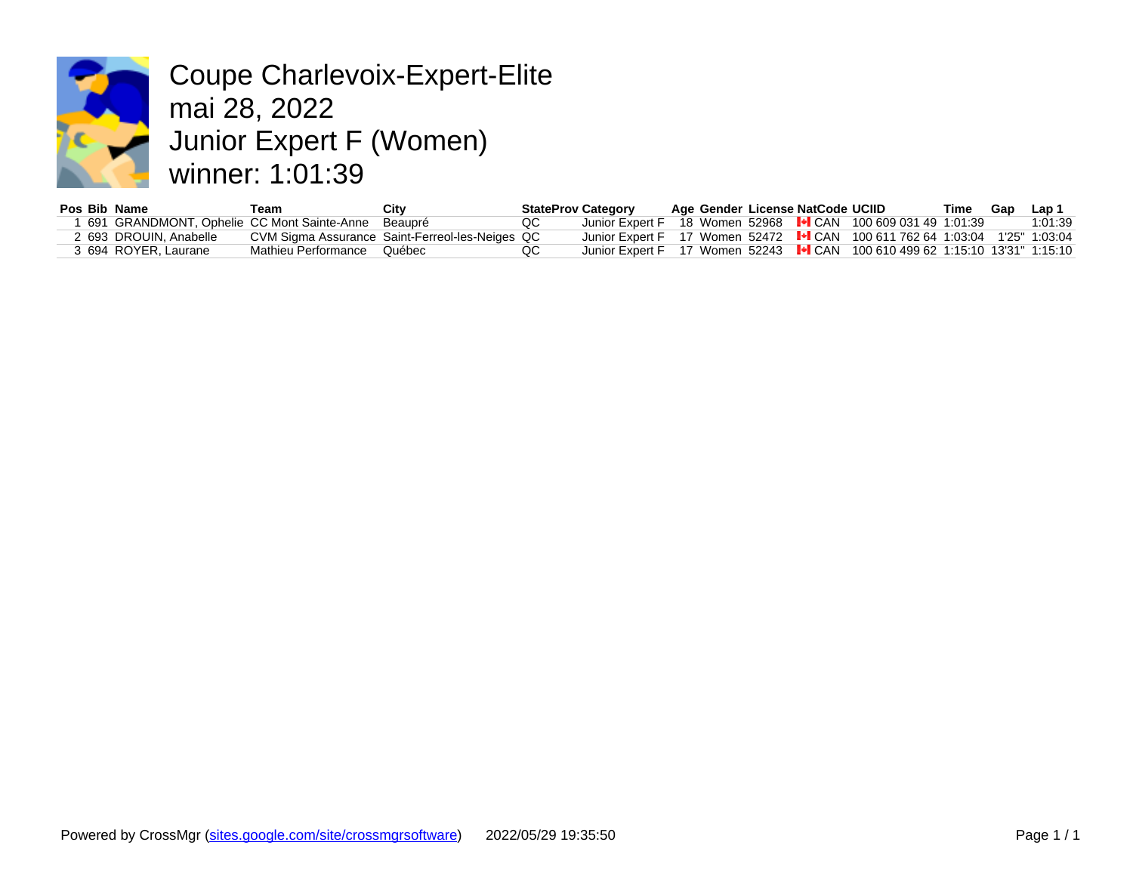

Coupe Charlevoix-Expert-Elite mai 28, 2022 Junior Expert F (Women) winner: 1:01:39

| Pos Bib Name |                                            | ⊺eam                | City                                            |    | <b>StateProv Category</b>                           |  | Age Gender License NatCode UCII |       |
|--------------|--------------------------------------------|---------------------|-------------------------------------------------|----|-----------------------------------------------------|--|---------------------------------|-------|
|              | 691 GRANDMONT, Ophelie CC Mont Sainte-Anne |                     | Beaupré                                         | QC | Junior Expert F 18 Women 52968 <sup>I•I</sup> CAN   |  |                                 | 100   |
|              | 2 693 DROUIN. Anabelle                     |                     | CVM Sigma Assurance Saint-Ferreol-les-Neiges QC |    | Junior Expert F 17 Women 52472 I <sup>⊌</sup> I CAN |  |                                 | 100 I |
|              | 3 694 ROYER. Laurane                       | Mathieu Performance | Québec                                          |    | Junior Expert F 17 Women 52243 I CAN                |  |                                 | 100 L |